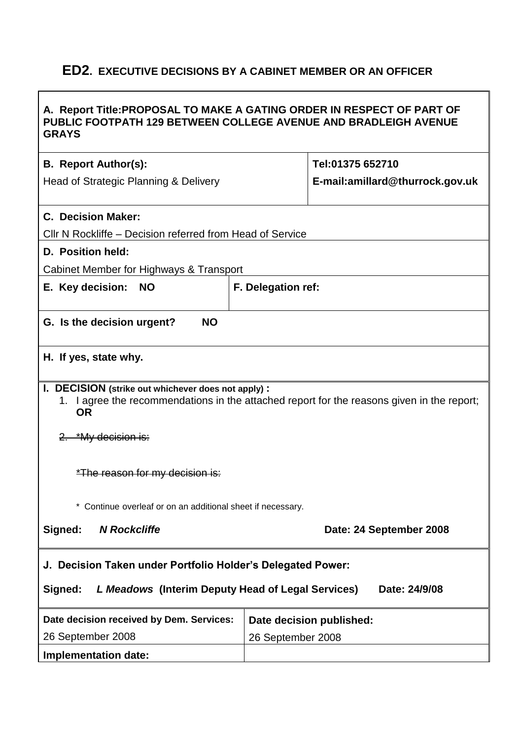# **ED2. EXECUTIVE DECISIONS BY A CABINET MEMBER OR AN OFFICER**

# **A. Report Title:PROPOSAL TO MAKE A GATING ORDER IN RESPECT OF PART OF PUBLIC FOOTPATH 129 BETWEEN COLLEGE AVENUE AND BRADLEIGH AVENUE GRAYS B. Report Author(s):** Head of Strategic Planning & Delivery **Tel:01375 652710 E-mail:amillard@thurrock.gov.uk C. Decision Maker:**  Cllr N Rockliffe – Decision referred from Head of Service **D. Position held:** Cabinet Member for Highways & Transport **E. Key decision: NO F. Delegation ref: G. Is the decision urgent? NO H. If yes, state why. I. DECISION (strike out whichever does not apply) :** 1. I agree the recommendations in the attached report for the reasons given in the report; **OR** 2. \*My decision is: \*The reason for my decision is: \* Continue overleaf or on an additional sheet if necessary. **Signed:** *N Rockcliffe* **Date: 24 September 2008 J. Decision Taken under Portfolio Holder's Delegated Power: Signed:** *L Meadows* **(Interim Deputy Head of Legal Services) Date: 24/9/08 Date decision received by Dem. Services:** 26 September 2008 **Date decision published:** 26 September 2008 **Implementation date:**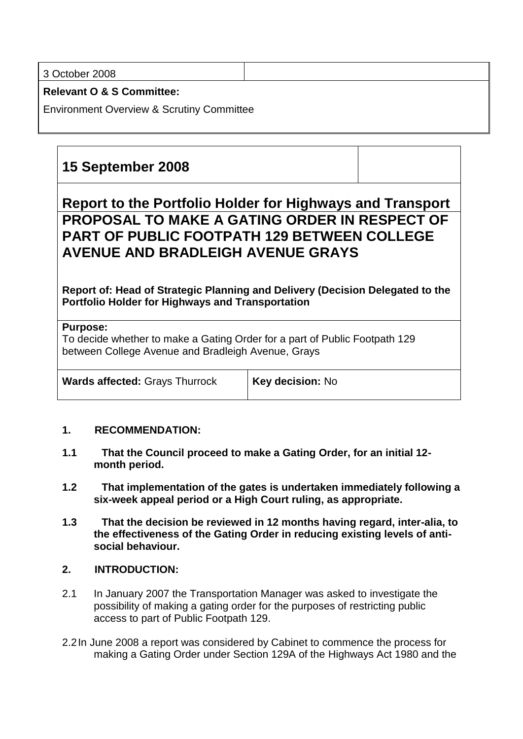3 October 2008

**Relevant O & S Committee:**

Environment Overview & Scrutiny Committee

# **15 September 2008**

# **Report to the Portfolio Holder for Highways and Transport PROPOSAL TO MAKE A GATING ORDER IN RESPECT OF PART OF PUBLIC FOOTPATH 129 BETWEEN COLLEGE AVENUE AND BRADLEIGH AVENUE GRAYS**

**Report of: Head of Strategic Planning and Delivery (Decision Delegated to the Portfolio Holder for Highways and Transportation**

### **Purpose:**

To decide whether to make a Gating Order for a part of Public Footpath 129 between College Avenue and Bradleigh Avenue, Grays

**Wards affected:** Grays Thurrock **Key decision:** No

### **1. RECOMMENDATION:**

- **1.1 That the Council proceed to make a Gating Order, for an initial 12 month period.**
- **1.2 That implementation of the gates is undertaken immediately following a six-week appeal period or a High Court ruling, as appropriate.**
- **1.3 That the decision be reviewed in 12 months having regard, inter-alia, to the effectiveness of the Gating Order in reducing existing levels of antisocial behaviour.**

# **2. INTRODUCTION:**

- 2.1 In January 2007 the Transportation Manager was asked to investigate the possibility of making a gating order for the purposes of restricting public access to part of Public Footpath 129.
- 2.2In June 2008 a report was considered by Cabinet to commence the process for making a Gating Order under Section 129A of the Highways Act 1980 and the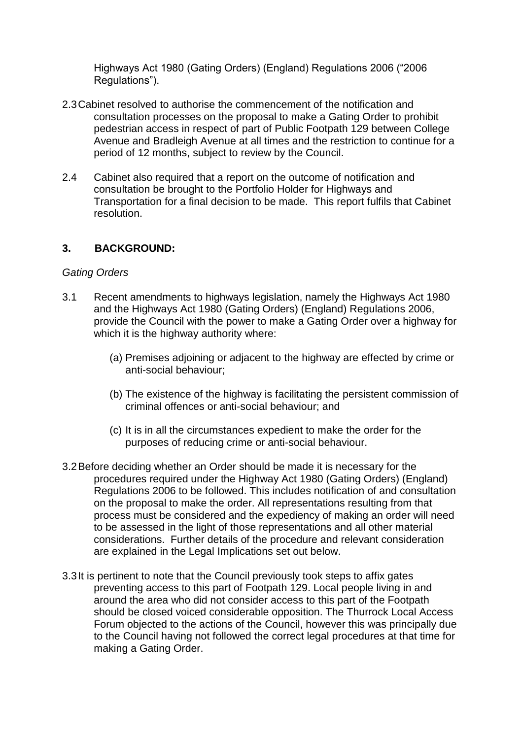Highways Act 1980 (Gating Orders) (England) Regulations 2006 ("2006 Regulations").

- 2.3Cabinet resolved to authorise the commencement of the notification and consultation processes on the proposal to make a Gating Order to prohibit pedestrian access in respect of part of Public Footpath 129 between College Avenue and Bradleigh Avenue at all times and the restriction to continue for a period of 12 months, subject to review by the Council.
- 2.4 Cabinet also required that a report on the outcome of notification and consultation be brought to the Portfolio Holder for Highways and Transportation for a final decision to be made. This report fulfils that Cabinet resolution.

## **3. BACKGROUND:**

### *Gating Orders*

- 3.1 Recent amendments to highways legislation, namely the Highways Act 1980 and the Highways Act 1980 (Gating Orders) (England) Regulations 2006, provide the Council with the power to make a Gating Order over a highway for which it is the highway authority where:
	- (a) Premises adjoining or adjacent to the highway are effected by crime or anti-social behaviour;
	- (b) The existence of the highway is facilitating the persistent commission of criminal offences or anti-social behaviour; and
	- (c) It is in all the circumstances expedient to make the order for the purposes of reducing crime or anti-social behaviour.
- 3.2Before deciding whether an Order should be made it is necessary for the procedures required under the Highway Act 1980 (Gating Orders) (England) Regulations 2006 to be followed. This includes notification of and consultation on the proposal to make the order. All representations resulting from that process must be considered and the expediency of making an order will need to be assessed in the light of those representations and all other material considerations. Further details of the procedure and relevant consideration are explained in the Legal Implications set out below.
- 3.3It is pertinent to note that the Council previously took steps to affix gates preventing access to this part of Footpath 129. Local people living in and around the area who did not consider access to this part of the Footpath should be closed voiced considerable opposition. The Thurrock Local Access Forum objected to the actions of the Council, however this was principally due to the Council having not followed the correct legal procedures at that time for making a Gating Order.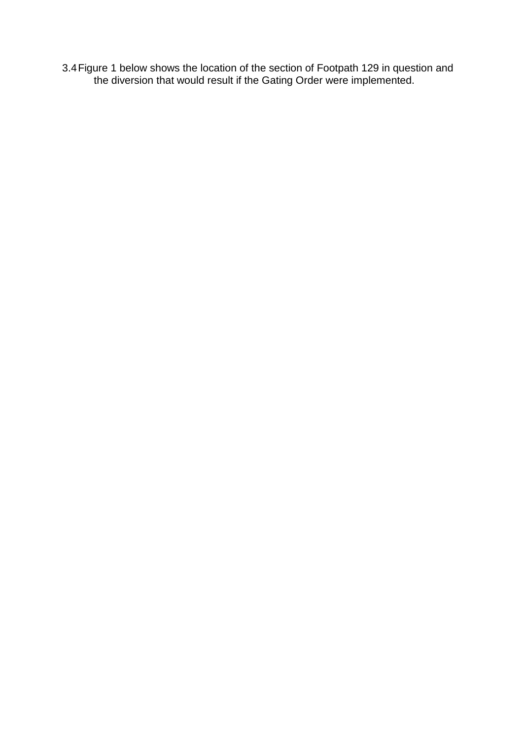3.4Figure 1 below shows the location of the section of Footpath 129 in question and the diversion that would result if the Gating Order were implemented.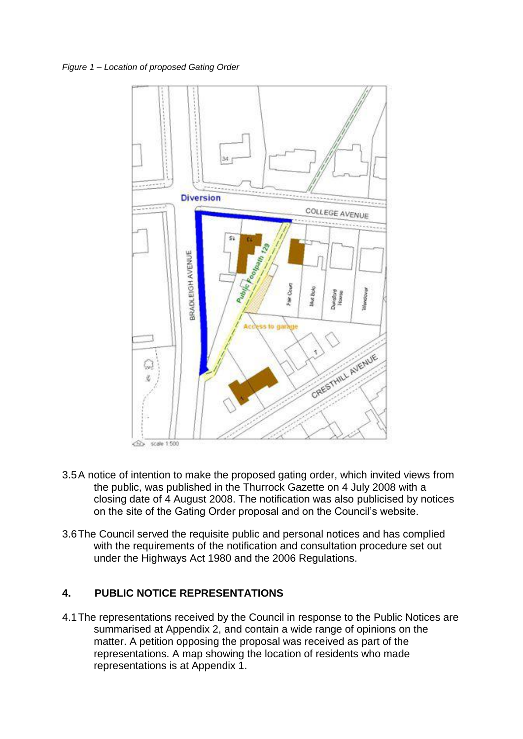*Figure 1 – Location of proposed Gating Order*



- 3.5A notice of intention to make the proposed gating order, which invited views from the public, was published in the Thurrock Gazette on 4 July 2008 with a closing date of 4 August 2008. The notification was also publicised by notices on the site of the Gating Order proposal and on the Council's website.
- 3.6The Council served the requisite public and personal notices and has complied with the requirements of the notification and consultation procedure set out under the Highways Act 1980 and the 2006 Regulations.

### **4. PUBLIC NOTICE REPRESENTATIONS**

4.1The representations received by the Council in response to the Public Notices are summarised at Appendix 2, and contain a wide range of opinions on the matter. A petition opposing the proposal was received as part of the representations. A map showing the location of residents who made representations is at Appendix 1.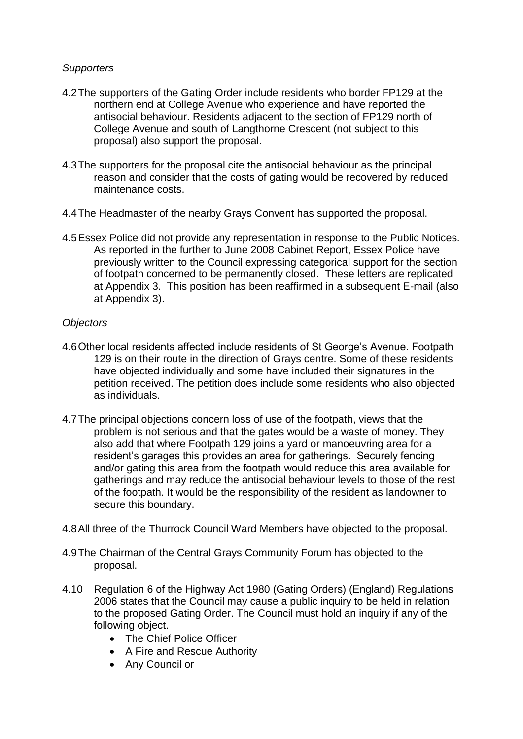## *Supporters*

- 4.2The supporters of the Gating Order include residents who border FP129 at the northern end at College Avenue who experience and have reported the antisocial behaviour. Residents adjacent to the section of FP129 north of College Avenue and south of Langthorne Crescent (not subject to this proposal) also support the proposal.
- 4.3The supporters for the proposal cite the antisocial behaviour as the principal reason and consider that the costs of gating would be recovered by reduced maintenance costs.
- 4.4The Headmaster of the nearby Grays Convent has supported the proposal.
- 4.5Essex Police did not provide any representation in response to the Public Notices. As reported in the further to June 2008 Cabinet Report, Essex Police have previously written to the Council expressing categorical support for the section of footpath concerned to be permanently closed. These letters are replicated at Appendix 3. This position has been reaffirmed in a subsequent E-mail (also at Appendix 3).

## *Objectors*

- 4.6Other local residents affected include residents of St George's Avenue. Footpath 129 is on their route in the direction of Grays centre. Some of these residents have objected individually and some have included their signatures in the petition received. The petition does include some residents who also objected as individuals.
- 4.7The principal objections concern loss of use of the footpath, views that the problem is not serious and that the gates would be a waste of money. They also add that where Footpath 129 joins a yard or manoeuvring area for a resident's garages this provides an area for gatherings. Securely fencing and/or gating this area from the footpath would reduce this area available for gatherings and may reduce the antisocial behaviour levels to those of the rest of the footpath. It would be the responsibility of the resident as landowner to secure this boundary.
- 4.8All three of the Thurrock Council Ward Members have objected to the proposal.
- 4.9The Chairman of the Central Grays Community Forum has objected to the proposal.
- 4.10 Regulation 6 of the Highway Act 1980 (Gating Orders) (England) Regulations 2006 states that the Council may cause a public inquiry to be held in relation to the proposed Gating Order. The Council must hold an inquiry if any of the following object.
	- The Chief Police Officer
	- A Fire and Rescue Authority
	- Any Council or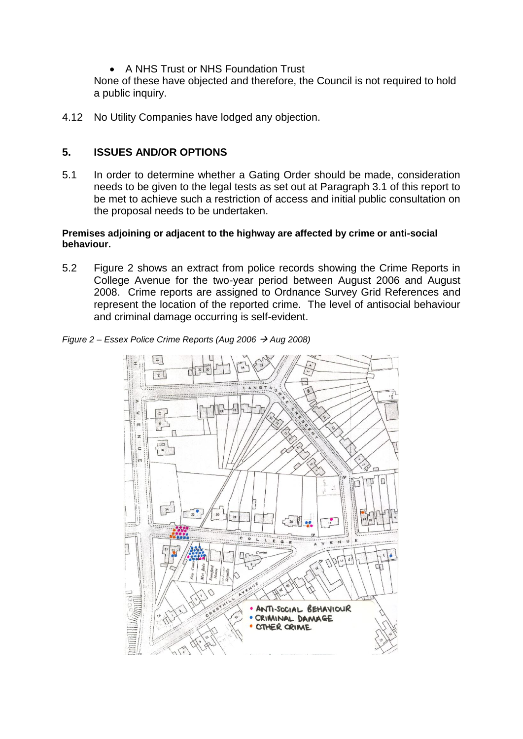A NHS Trust or NHS Foundation Trust

None of these have objected and therefore, the Council is not required to hold a public inquiry.

4.12 No Utility Companies have lodged any objection.

# **5. ISSUES AND/OR OPTIONS**

5.1 In order to determine whether a Gating Order should be made, consideration needs to be given to the legal tests as set out at Paragraph 3.1 of this report to be met to achieve such a restriction of access and initial public consultation on the proposal needs to be undertaken.

#### **Premises adjoining or adjacent to the highway are affected by crime or anti-social behaviour.**

5.2 Figure 2 shows an extract from police records showing the Crime Reports in College Avenue for the two-year period between August 2006 and August 2008. Crime reports are assigned to Ordnance Survey Grid References and represent the location of the reported crime. The level of antisocial behaviour and criminal damage occurring is self-evident.



*Figure 2 – Essex Police Crime Reports (Aug 2006 Aug 2008)*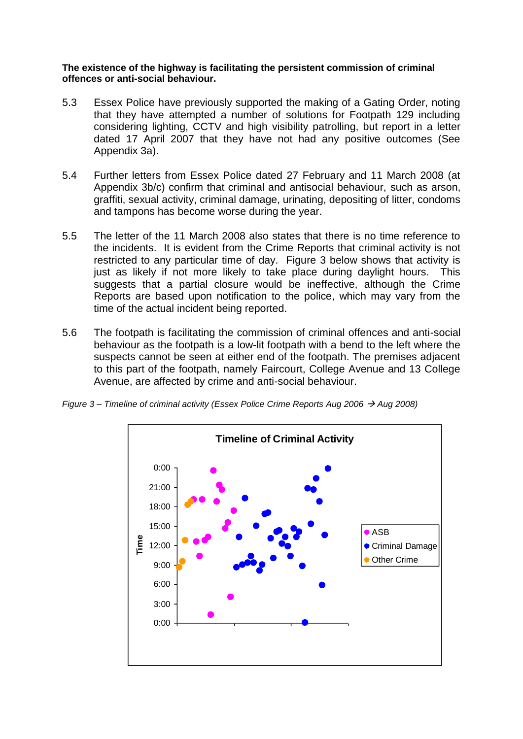**The existence of the highway is facilitating the persistent commission of criminal offences or anti-social behaviour.**

- 5.3 Essex Police have previously supported the making of a Gating Order, noting that they have attempted a number of solutions for Footpath 129 including considering lighting, CCTV and high visibility patrolling, but report in a letter dated 17 April 2007 that they have not had any positive outcomes (See Appendix 3a).
- 5.4 Further letters from Essex Police dated 27 February and 11 March 2008 (at Appendix 3b/c) confirm that criminal and antisocial behaviour, such as arson, graffiti, sexual activity, criminal damage, urinating, depositing of litter, condoms and tampons has become worse during the year.
- 5.5 The letter of the 11 March 2008 also states that there is no time reference to the incidents. It is evident from the Crime Reports that criminal activity is not restricted to any particular time of day. Figure 3 below shows that activity is just as likely if not more likely to take place during daylight hours. This suggests that a partial closure would be ineffective, although the Crime Reports are based upon notification to the police, which may vary from the time of the actual incident being reported.
- 5.6 The footpath is facilitating the commission of criminal offences and anti-social behaviour as the footpath is a low-lit footpath with a bend to the left where the suspects cannot be seen at either end of the footpath. The premises adjacent to this part of the footpath, namely Faircourt, College Avenue and 13 College Avenue, are affected by crime and anti-social behaviour.

*Figure 3 – Timeline of criminal activity (Essex Police Crime Reports Aug 2006 Aug 2008)*

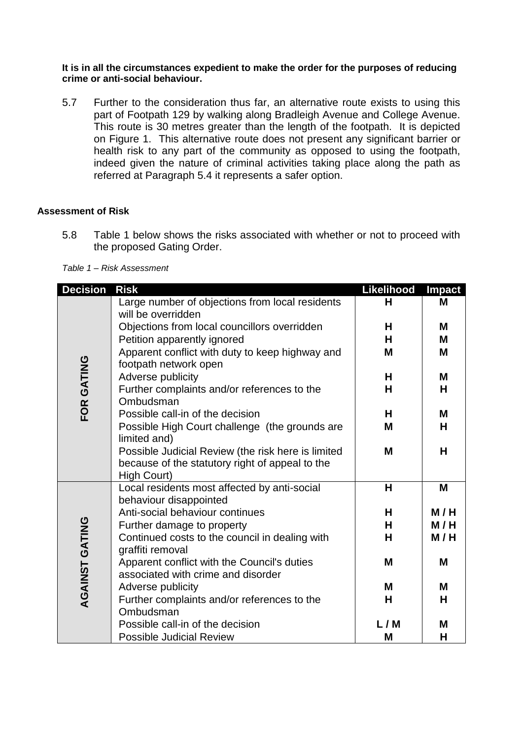**It is in all the circumstances expedient to make the order for the purposes of reducing crime or anti-social behaviour.** 

5.7 Further to the consideration thus far, an alternative route exists to using this part of Footpath 129 by walking along Bradleigh Avenue and College Avenue. This route is 30 metres greater than the length of the footpath. It is depicted on Figure 1. This alternative route does not present any significant barrier or health risk to any part of the community as opposed to using the footpath, indeed given the nature of criminal activities taking place along the path as referred at Paragraph 5.4 it represents a safer option.

#### **Assessment of Risk**

5.8 Table 1 below shows the risks associated with whether or not to proceed with the proposed Gating Order.

#### *Table 1 – Risk Assessment*

| <b>Decision</b>       | <b>Risk</b>                                                                                           | Likelihood | <b>Impact</b> |
|-----------------------|-------------------------------------------------------------------------------------------------------|------------|---------------|
| FOR GATING            | Large number of objections from local residents<br>will be overridden                                 | H          | M             |
|                       | Objections from local councillors overridden                                                          | Н          | M             |
|                       | Petition apparently ignored                                                                           | н          | M             |
|                       | Apparent conflict with duty to keep highway and                                                       | M          | M             |
|                       | footpath network open                                                                                 |            |               |
|                       | Adverse publicity                                                                                     | н          | M             |
|                       | Further complaints and/or references to the<br>Ombudsman                                              | H          | H             |
|                       | Possible call-in of the decision                                                                      | Н          | M             |
|                       | Possible High Court challenge (the grounds are<br>limited and)                                        | M          | Н             |
|                       | Possible Judicial Review (the risk here is limited<br>because of the statutory right of appeal to the | M          | H             |
|                       | High Court)                                                                                           |            |               |
| <b>AGAINST GATING</b> | Local residents most affected by anti-social<br>behaviour disappointed                                | H          | M             |
|                       | Anti-social behaviour continues                                                                       | H          | M/H           |
|                       | Further damage to property                                                                            | н          | M/H           |
|                       | Continued costs to the council in dealing with<br>graffiti removal                                    | н          | M/H           |
|                       | Apparent conflict with the Council's duties<br>associated with crime and disorder                     | M          | M             |
|                       | Adverse publicity                                                                                     | M          | M             |
|                       | Further complaints and/or references to the                                                           | Н          | Н             |
|                       | Ombudsman                                                                                             |            |               |
|                       | Possible call-in of the decision                                                                      | L/M        | M             |
|                       | <b>Possible Judicial Review</b>                                                                       | M          | Н             |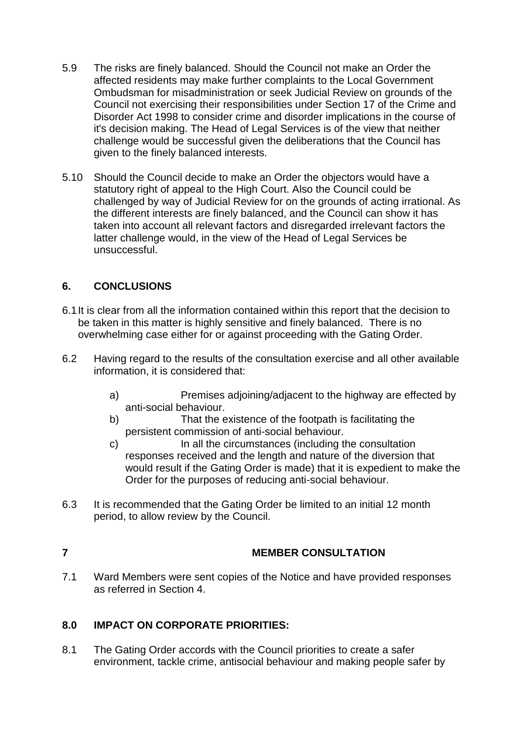- 5.9 The risks are finely balanced. Should the Council not make an Order the affected residents may make further complaints to the Local Government Ombudsman for misadministration or seek Judicial Review on grounds of the Council not exercising their responsibilities under Section 17 of the Crime and Disorder Act 1998 to consider crime and disorder implications in the course of it's decision making. The Head of Legal Services is of the view that neither challenge would be successful given the deliberations that the Council has given to the finely balanced interests.
- 5.10 Should the Council decide to make an Order the objectors would have a statutory right of appeal to the High Court. Also the Council could be challenged by way of Judicial Review for on the grounds of acting irrational. As the different interests are finely balanced, and the Council can show it has taken into account all relevant factors and disregarded irrelevant factors the latter challenge would, in the view of the Head of Legal Services be unsuccessful.

# **6. CONCLUSIONS**

- 6.1It is clear from all the information contained within this report that the decision to be taken in this matter is highly sensitive and finely balanced. There is no overwhelming case either for or against proceeding with the Gating Order.
- 6.2 Having regard to the results of the consultation exercise and all other available information, it is considered that:
	- a) Premises adjoining/adjacent to the highway are effected by anti-social behaviour.
	- b) That the existence of the footpath is facilitating the persistent commission of anti-social behaviour.
	- c) In all the circumstances (including the consultation responses received and the length and nature of the diversion that would result if the Gating Order is made) that it is expedient to make the Order for the purposes of reducing anti-social behaviour.
- 6.3 It is recommended that the Gating Order be limited to an initial 12 month period, to allow review by the Council.

# **7 MEMBER CONSULTATION**

7.1 Ward Members were sent copies of the Notice and have provided responses as referred in Section 4.

# **8.0 IMPACT ON CORPORATE PRIORITIES:**

8.1 The Gating Order accords with the Council priorities to create a safer environment, tackle crime, antisocial behaviour and making people safer by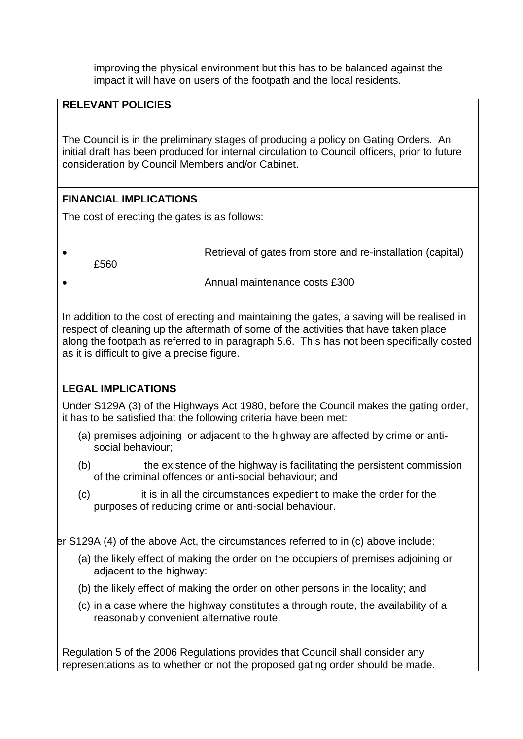improving the physical environment but this has to be balanced against the impact it will have on users of the footpath and the local residents.

# **RELEVANT POLICIES**

The Council is in the preliminary stages of producing a policy on Gating Orders. An initial draft has been produced for internal circulation to Council officers, prior to future consideration by Council Members and/or Cabinet.

# **FINANCIAL IMPLICATIONS**

The cost of erecting the gates is as follows:

Retrieval of gates from store and re-installation (capital)

£560

Annual maintenance costs £300

In addition to the cost of erecting and maintaining the gates, a saving will be realised in respect of cleaning up the aftermath of some of the activities that have taken place along the footpath as referred to in paragraph 5.6. This has not been specifically costed as it is difficult to give a precise figure.

# **LEGAL IMPLICATIONS**

Under S129A (3) of the Highways Act 1980, before the Council makes the gating order, it has to be satisfied that the following criteria have been met:

- (a) premises adjoining or adjacent to the highway are affected by crime or antisocial behaviour;
- (b) the existence of the highway is facilitating the persistent commission of the criminal offences or anti-social behaviour; and
- (c) it is in all the circumstances expedient to make the order for the purposes of reducing crime or anti-social behaviour.

 $\epsilon$  S129A (4) of the above Act, the circumstances referred to in (c) above include:

- (a) the likely effect of making the order on the occupiers of premises adjoining or adjacent to the highway:
- (b) the likely effect of making the order on other persons in the locality; and
- (c) in a case where the highway constitutes a through route, the availability of a reasonably convenient alternative route.

Regulation 5 of the 2006 Regulations provides that Council shall consider any representations as to whether or not the proposed gating order should be made.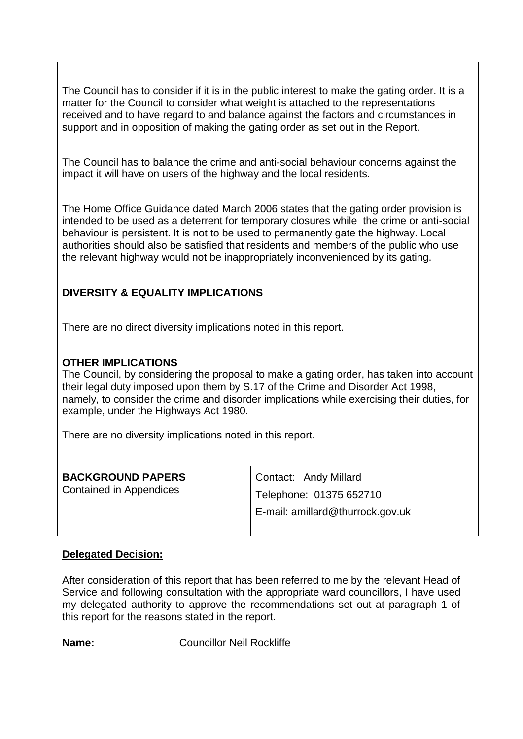The Council has to consider if it is in the public interest to make the gating order. It is a matter for the Council to consider what weight is attached to the representations received and to have regard to and balance against the factors and circumstances in support and in opposition of making the gating order as set out in the Report.

The Council has to balance the crime and anti-social behaviour concerns against the impact it will have on users of the highway and the local residents.

The Home Office Guidance dated March 2006 states that the gating order provision is intended to be used as a deterrent for temporary closures while the crime or anti-social behaviour is persistent. It is not to be used to permanently gate the highway. Local authorities should also be satisfied that residents and members of the public who use the relevant highway would not be inappropriately inconvenienced by its gating.

# **DIVERSITY & EQUALITY IMPLICATIONS**

There are no direct diversity implications noted in this report.

### **OTHER IMPLICATIONS**

The Council, by considering the proposal to make a gating order, has taken into account their legal duty imposed upon them by S.17 of the Crime and Disorder Act 1998, namely, to consider the crime and disorder implications while exercising their duties, for example, under the Highways Act 1980.

There are no diversity implications noted in this report.

| <b>BACKGROUND PAPERS</b> | Contact: Andy Millard            |  |
|--------------------------|----------------------------------|--|
| Contained in Appendices  | Telephone: 01375 652710          |  |
|                          | E-mail: amillard@thurrock.gov.uk |  |

#### **Delegated Decision:**

After consideration of this report that has been referred to me by the relevant Head of Service and following consultation with the appropriate ward councillors, I have used my delegated authority to approve the recommendations set out at paragraph 1 of this report for the reasons stated in the report.

**Name:** Councillor Neil Rockliffe